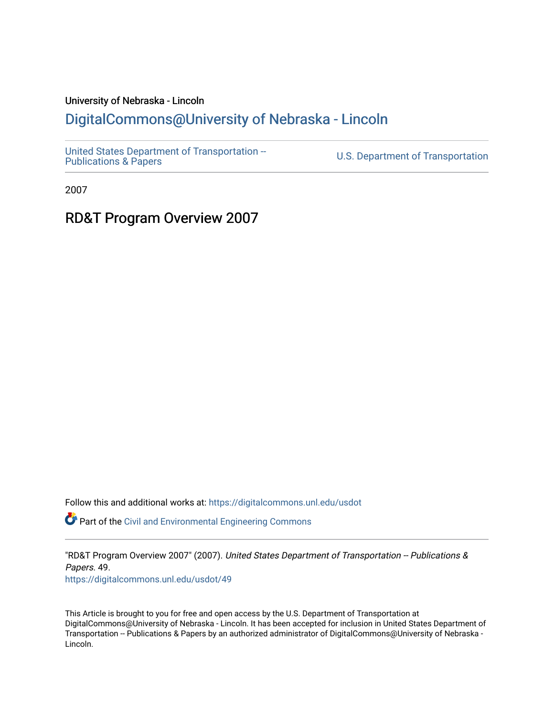#### University of Nebraska - Lincoln

#### [DigitalCommons@University of Nebraska - Lincoln](https://digitalcommons.unl.edu/)

[United States Department of Transportation --](https://digitalcommons.unl.edu/usdot)<br>Publications & Papers

U.S. Department of Transportation

2007

#### RD&T Program Overview 2007

Follow this and additional works at: [https://digitalcommons.unl.edu/usdot](https://digitalcommons.unl.edu/usdot?utm_source=digitalcommons.unl.edu%2Fusdot%2F49&utm_medium=PDF&utm_campaign=PDFCoverPages) 

Part of the [Civil and Environmental Engineering Commons](http://network.bepress.com/hgg/discipline/251?utm_source=digitalcommons.unl.edu%2Fusdot%2F49&utm_medium=PDF&utm_campaign=PDFCoverPages)

"RD&T Program Overview 2007" (2007). United States Department of Transportation -- Publications & Papers. 49. [https://digitalcommons.unl.edu/usdot/49](https://digitalcommons.unl.edu/usdot/49?utm_source=digitalcommons.unl.edu%2Fusdot%2F49&utm_medium=PDF&utm_campaign=PDFCoverPages)

This Article is brought to you for free and open access by the U.S. Department of Transportation at DigitalCommons@University of Nebraska - Lincoln. It has been accepted for inclusion in United States Department of Transportation -- Publications & Papers by an authorized administrator of DigitalCommons@University of Nebraska - Lincoln.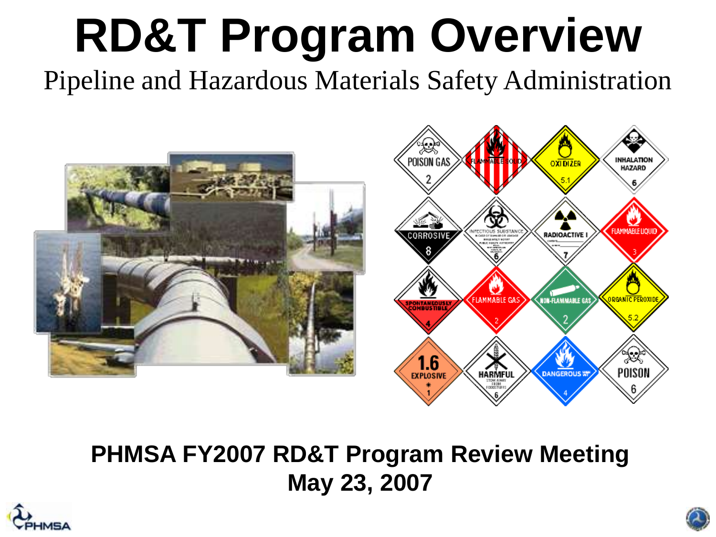# **RD&T Program Overview**

Pipeline and Hazardous Materials Safety Administration



#### **PHMSA FY2007 RD&T Program Review Meeting May 23, 2007**



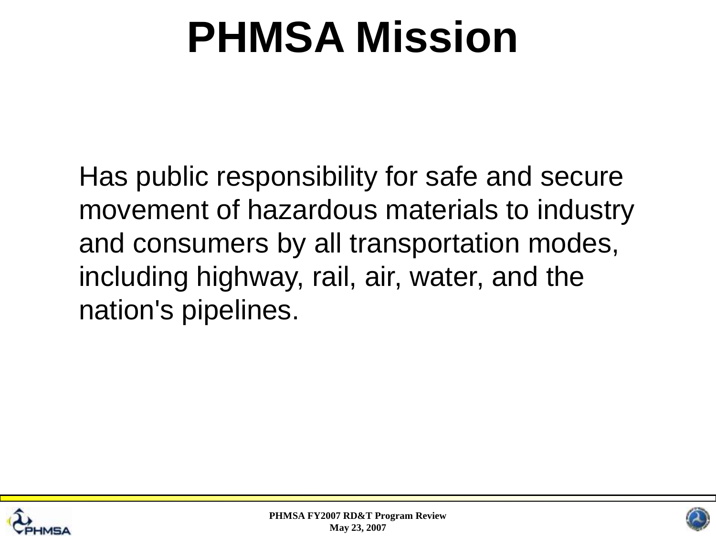## **PHMSA Mission**

Has public responsibility for safe and secure movement of hazardous materials to industry and consumers by all transportation modes, including highway, rail, air, water, and the nation's pipelines.



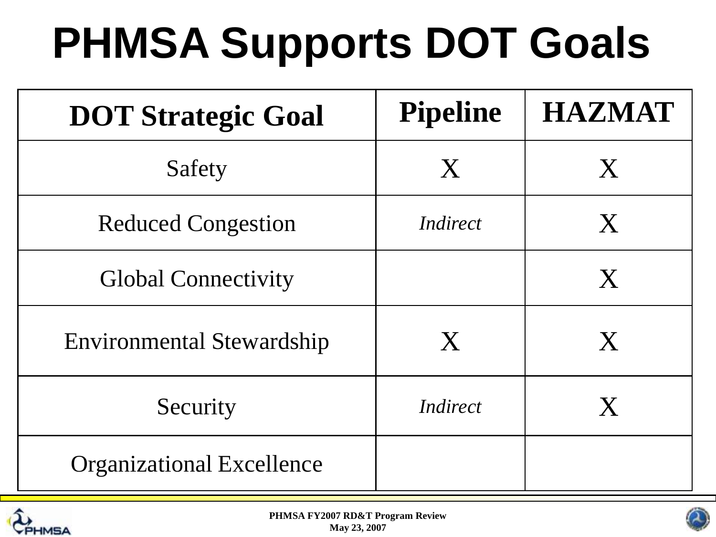# **PHMSA Supports DOT Goals**

| <b>DOT Strategic Goal</b>        | <b>Pipeline</b>           | <b>HAZMAT</b> |
|----------------------------------|---------------------------|---------------|
| Safety                           | X                         | X             |
| <b>Reduced Congestion</b>        | Indirect                  | X             |
| <b>Global Connectivity</b>       |                           | X             |
| <b>Environmental Stewardship</b> | $\boldsymbol{\mathrm{X}}$ | ${\bf X}$     |
| Security                         | Indirect                  | X             |
| <b>Organizational Excellence</b> |                           |               |



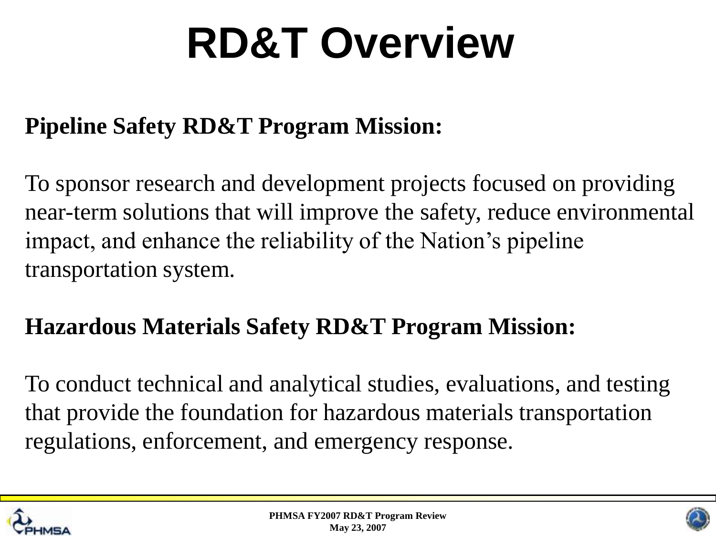## **RD&T Overview**

#### **Pipeline Safety RD&T Program Mission:**

To sponsor research and development projects focused on providing near-term solutions that will improve the safety, reduce environmental impact, and enhance the reliability of the Nation's pipeline transportation system.

#### **Hazardous Materials Safety RD&T Program Mission:**

To conduct technical and analytical studies, evaluations, and testing that provide the foundation for hazardous materials transportation regulations, enforcement, and emergency response.



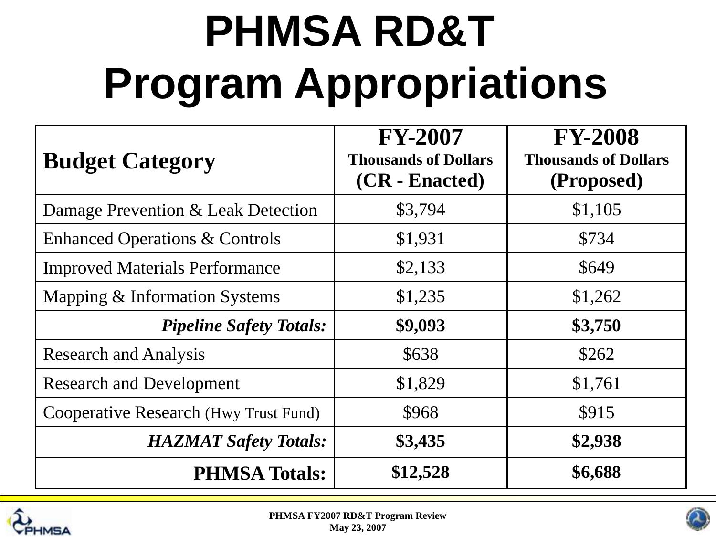# **PHMSA RD&T Program Appropriations**

| <b>Budget Category</b>                    | <b>FY-2007</b><br><b>Thousands of Dollars</b><br>(CR - Enacted) | <b>FY-2008</b><br><b>Thousands of Dollars</b><br>(Proposed) |
|-------------------------------------------|-----------------------------------------------------------------|-------------------------------------------------------------|
| Damage Prevention & Leak Detection        | \$3,794                                                         | \$1,105                                                     |
| <b>Enhanced Operations &amp; Controls</b> | \$1,931                                                         | \$734                                                       |
| <b>Improved Materials Performance</b>     | \$2,133                                                         | \$649                                                       |
| Mapping & Information Systems             | \$1,235                                                         | \$1,262                                                     |
| <b>Pipeline Safety Totals:</b>            | \$9,093                                                         | \$3,750                                                     |
| <b>Research and Analysis</b>              | \$638                                                           | \$262                                                       |
| <b>Research and Development</b>           | \$1,829                                                         | \$1,761                                                     |
| Cooperative Research (Hwy Trust Fund)     | \$968                                                           | \$915                                                       |
| <b>HAZMAT Safety Totals:</b>              | \$3,435                                                         | \$2,938                                                     |
| <b>PHMSA Totals:</b>                      | \$12,528                                                        | \$6,688                                                     |



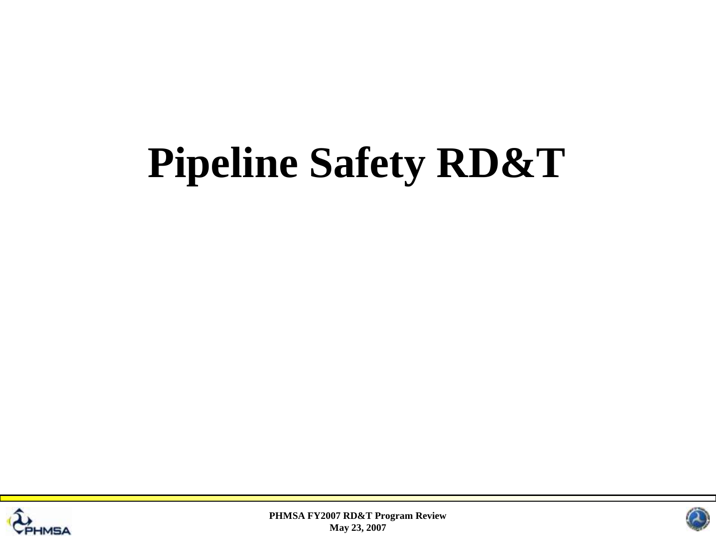## **Pipeline Safety RD&T**



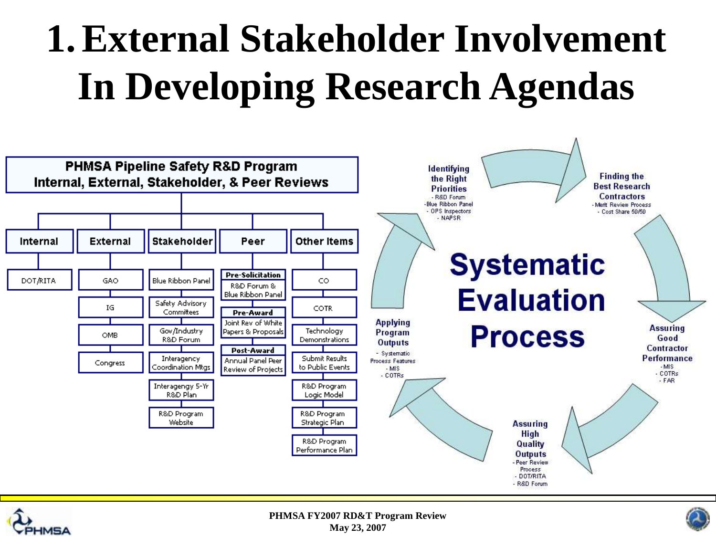## **1.External Stakeholder Involvement In Developing Research Agendas**





**PHMSA FY2007 RD&T Program Review May 23, 2007**

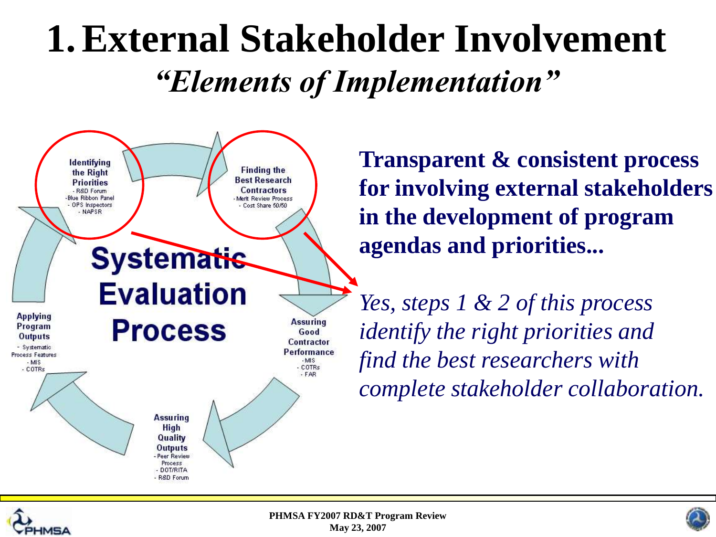### **1.External Stakeholder Involvement** *"Elements of Implementation"*



**Transparent & consistent process for involving external stakeholders in the development of program agendas and priorities...**

*Yes, steps 1 & 2 of this process identify the right priorities and find the best researchers with complete stakeholder collaboration.*



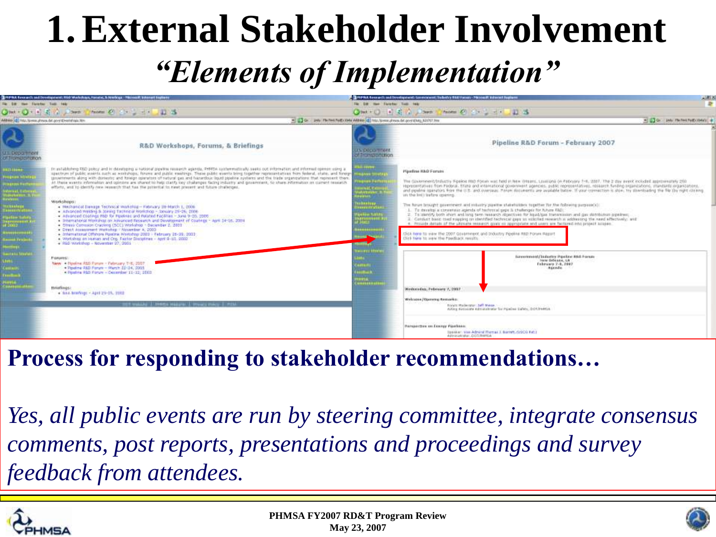### **1.External Stakeholder Involvement**

### *"Elements of Implementation"*



#### **Process for responding to stakeholder recommendations…**

*Yes, all public events are run by steering committee, integrate consensus comments, post reports, presentations and proceedings and survey feedback from attendees.*



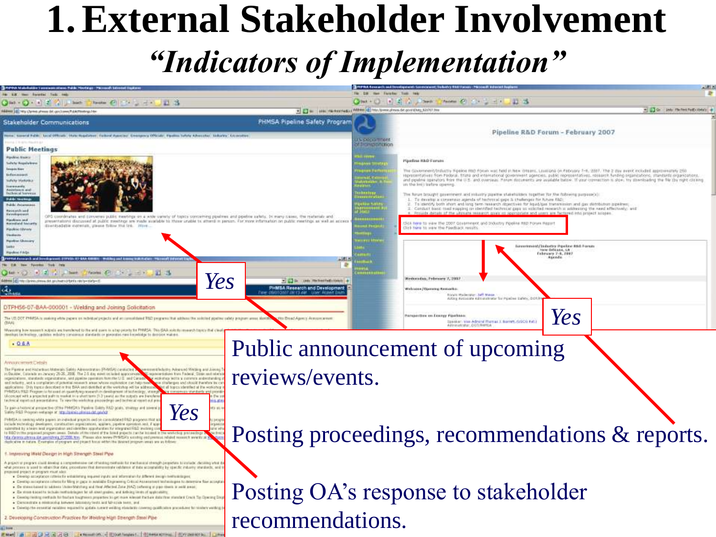### **1.External Stakeholder Involvement** *"Indicators of Implementation"*



Present and Table Table Table Table and Moontenance of Monetary and Table Table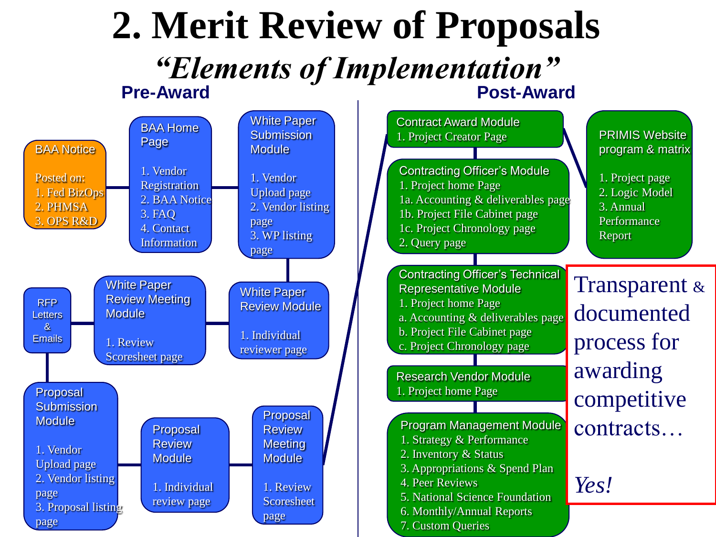#### **Pre-Award Pre-Award 2. Merit Review of Proposals** *"Elements of Implementation"*

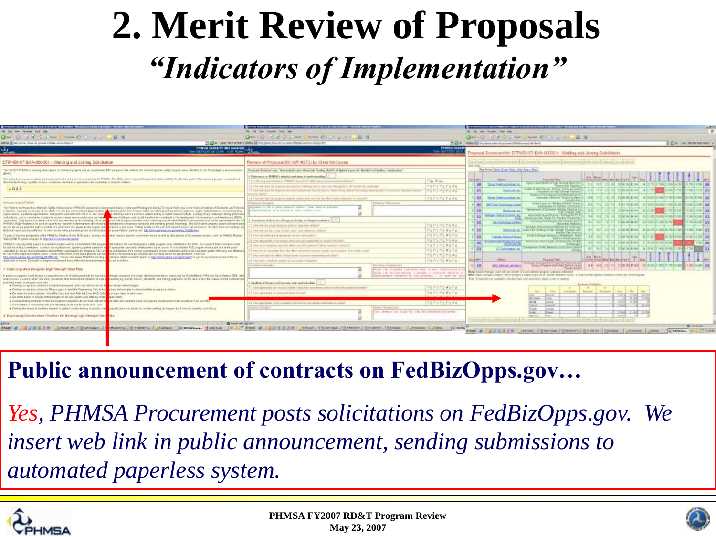### **2. Merit Review of Proposals** *"Indicators of Implementation"*

| FRFRA Fusions is and bevelopment. ETFEDS: #1-844-400021 - Webling and Sound Indictuber - Microsoft Esternt Engineer                                                                                                                                                                                                                                                                                                                                                                                                                                                                                                                                                                                                                                                                                                                                                                                                                                                                                                                                                                                                                               | PRO Special state-whereast Special England STOP ATTTIC Characterization of the                                                                                                                                                                                                                                             |                                                                                                                                                                                                               | <b>STRANGOOG INTO CARD CARD THROUGH THE STREET IS AN OFFICE A STREET OF A STREET IN THE STREET</b>                                                                                                                                                                                                                                                                                                                                        |                                                 |
|---------------------------------------------------------------------------------------------------------------------------------------------------------------------------------------------------------------------------------------------------------------------------------------------------------------------------------------------------------------------------------------------------------------------------------------------------------------------------------------------------------------------------------------------------------------------------------------------------------------------------------------------------------------------------------------------------------------------------------------------------------------------------------------------------------------------------------------------------------------------------------------------------------------------------------------------------------------------------------------------------------------------------------------------------------------------------------------------------------------------------------------------------|----------------------------------------------------------------------------------------------------------------------------------------------------------------------------------------------------------------------------------------------------------------------------------------------------------------------------|---------------------------------------------------------------------------------------------------------------------------------------------------------------------------------------------------------------|-------------------------------------------------------------------------------------------------------------------------------------------------------------------------------------------------------------------------------------------------------------------------------------------------------------------------------------------------------------------------------------------------------------------------------------------|-------------------------------------------------|
|                                                                                                                                                                                                                                                                                                                                                                                                                                                                                                                                                                                                                                                                                                                                                                                                                                                                                                                                                                                                                                                                                                                                                   |                                                                                                                                                                                                                                                                                                                            |                                                                                                                                                                                                               |                                                                                                                                                                                                                                                                                                                                                                                                                                           |                                                 |
| Of the second in the second of the second control of the second in the second in the second in the second in the second in the second in the second in the second in the second in the second in the second in the second in t                                                                                                                                                                                                                                                                                                                                                                                                                                                                                                                                                                                                                                                                                                                                                                                                                                                                                                                    | Owner Hally I was now the world at a                                                                                                                                                                                                                                                                                       |                                                                                                                                                                                                               | Qui- 0 - 1 4 month mini B - 2 - 1 - 1 - 1 - 5                                                                                                                                                                                                                                                                                                                                                                                             |                                                 |
| dress   8   Hitchinkonsulat.gr/nancj tarix ratio-tido-15                                                                                                                                                                                                                                                                                                                                                                                                                                                                                                                                                                                                                                                                                                                                                                                                                                                                                                                                                                                                                                                                                          | 12 St., Univ. Reflectives it AMBALLE, http://annis. Persints and restrict in the control of the control                                                                                                                                                                                                                    |                                                                                                                                                                                                               | 7) KL W  APPARENT the forms press of an electrodical field invested all filted                                                                                                                                                                                                                                                                                                                                                            | IT ET to come researched externity              |
| PHMSA Research and Develope                                                                                                                                                                                                                                                                                                                                                                                                                                                                                                                                                                                                                                                                                                                                                                                                                                                                                                                                                                                                                                                                                                                       |                                                                                                                                                                                                                                                                                                                            | Preside Resear<br>The Professor (NCR)                                                                                                                                                                         | Proposal Scorecard for DTPH50-07-BAA-000001 - Wektley and Joining Solicitation                                                                                                                                                                                                                                                                                                                                                            |                                                 |
| DTPH56-07-BAA-000001 - Welding and Joining Solicitation                                                                                                                                                                                                                                                                                                                                                                                                                                                                                                                                                                                                                                                                                                                                                                                                                                                                                                                                                                                                                                                                                           | Review of Proposal 59 (WP #272) by Onta McCowar                                                                                                                                                                                                                                                                            |                                                                                                                                                                                                               | the first management of the same because the contract of the same of the same of the same                                                                                                                                                                                                                                                                                                                                                 |                                                 |
| The US DOT PHMSA is useining white papers on redividual projects and an committeeed PMD programs that addess the suitcited positive salety program areas identified in this Broad Agency Acessor: areas                                                                                                                                                                                                                                                                                                                                                                                                                                                                                                                                                                                                                                                                                                                                                                                                                                                                                                                                           | The contributed from "Assessment Lease Physicals" (college ALLE) of National provided Art Charles Communities'                                                                                                                                                                                                             |                                                                                                                                                                                                               | Three Forms (1966). If you I have a thing of home is thought                                                                                                                                                                                                                                                                                                                                                                              |                                                 |
| Maximiting how movement outputs and harmbored to the end quantity to a top people for FRMSA. This BAA solects research transity that clearly studied the ultra also goes of the presented produced and<br>develops technology, certains including conservation attention or powerable new financialize to develop matters.                                                                                                                                                                                                                                                                                                                                                                                                                                                                                                                                                                                                                                                                                                                                                                                                                        | Nakomore in FERRIS's missias and state of redemanding<br>1. 71 We preside release to PWRCP's mount of 1980 and in convenient printing?                                                                                                                                                                                     | T'les N rec.                                                                                                                                                                                                  | Ecuació Ella<br>and Lawrent William of April Shanger Rose Trails                                                                                                                                                                                                                                                                                                                                                                          |                                                 |
| $-08A$                                                                                                                                                                                                                                                                                                                                                                                                                                                                                                                                                                                                                                                                                                                                                                                                                                                                                                                                                                                                                                                                                                                                            | 2. Mos-call door the actioned describe the Undersay and it trace the sayme is all secret the displainary<br>3. This and shad. Be triplined download labour during to others shades of any related furthwing; dealingments or information automotive services                                                               | FO F17171 F4<br>0001030388                                                                                                                                                                                    | Totals Address Editors &<br><b>Just</b> :<br>If Wall James, Talling, and Radiometer<br><b>District is</b><br>10 114 13 46 20 8 90 17 18<br>Philadelphia betried Townph Passings !                                                                                                                                                                                                                                                         | <b>BRING NOW</b><br><b><i>FANEWARE LEFT</i></b> |
|                                                                                                                                                                                                                                                                                                                                                                                                                                                                                                                                                                                                                                                                                                                                                                                                                                                                                                                                                                                                                                                                                                                                                   | <b>SHIP By HAWEY</b><br>4 This call that the pripriest entered with look by the above other publication (controls)                                                                                                                                                                                                         | Forschrafts                                                                                                                                                                                                   | determined by Richards and Millions for the<br>Someoned Minsons Technologies and L. W.M. TTH L. THE ME THAT HAT RESET<br>3611<br>Toyot Entity Locals in                                                                                                                                                                                                                                                                                   | THE REPORT OF PERSONS CONTINUES.                |
| Artistan permett Details<br>The Pipeline and Hazanboot Materials Safely Administration (PRMSA) candidates a Gommow alledgetry Administ Welling and Joseph Technold Werkship at the National Institute of Standards and Technology<br>(Oachter, Councils an January 26-26, 2008). The 2.6 Am week on tasket approvements of representations trans Federal. Total and international government agencies, public material and international control and international<br>equalishers, standards regardstatures, and positive parentest from the U.O. and Carrel  In each stars with a converse meteritariling of carrent research effects, a training all vay challenger facing government<br>and including, and a compliation of potential research awar whose replection can helper and the christmass and should therefore be cancelled in the development of new rassisch and sheakament (FIEC).                                                                                                                                                                                                                                                 | <b>Tale and Tarrairs</b><br>Aughstein an. 68 to considerations are additional thank. Associated Augustus<br>concernance of a possible vald battled from                                                                                                                                                                    | <b>Pelasters Christian and</b>                                                                                                                                                                                | terms Lanet for foreing JrLANC Common L.<br><b>Hill</b> Dellings Committee Lane<br><b>California</b><br>THE STATISTICS AND THROUGHOUND CONDITIONS<br>Palmonted Are University, Solving Mail PC BYL.<br>the performance of the local and<br>human and boy tituldo For Plankin Chiedenman (                                                                                                                                                 |                                                 |
| applications. Only topics described in this BAA securitoristics at the workshop will be addenised. Red all lopics identified at the workshop may hit within PHMSA's measure and may not be represented in this Bi<br>PROSA's FIED Princenn is his ased on quantitying research in development of sechecle your consensus standards and providing general lime-black as the SAA seales property schement beyond prod<br>depoperation is a preparint putting market in a ulterations (1.3 years) as the supply own watered to and some Further details on De antichatives and the second to provide an including to the fourth with the FIAD hours pres<br>authorist manitud and advantations. To vary the worlds was expected as and building and building of precedible or, please meth. Marking phones, please and advanced to the Channels and a constitution (11790), but                                                                                                                                                                                                                                                                      | Literatures of Project at Pringram design and beginnwanching.<br>litte call on problemship and avail in the first and black<br>The call on the cross of later right in the term to both                                                                                                                                    | THT 17 17 17 18 4 1<br>$\begin{bmatrix} T^1(t) & T^2(t) & T^3(t) & T^4(t) & T^5(t) \end{bmatrix}$                                                                                                             | from the low Haply and Alac Coast for<br>(8) 461 15 17 11 8 8 4 9 6 7 5 9 5 6 7 8 7 8<br>SAGES MARINE<br>to the distance of the highest and the distance of the country to the distance of the first that the distance<br>weblas of a concerned Mediata to Production<br>must such and said relational Mount middle records controlled to<br>Toda Fath Virginia (Frida Compli Flamina) cell:  <br><b>Thomas DC</b><br>Matter Fax Instinct |                                                 |
| e part a historical presenctive of the PHMSA's Pipeline Baldy RAD goals, whatever and young previous planters stakefielder words as well as descriptions of all assembly torpated) research, visit the PHMSA Pipeline<br>Latiny FrED Princetors well-ander at "Marchiservick physics dat column                                                                                                                                                                                                                                                                                                                                                                                                                                                                                                                                                                                                                                                                                                                                                                                                                                                   | I the red debut ant represent an be detected<br>of 14 an appropriate to this property later county and Laurenthan In constant the sport-                                                                                                                                                                                   | FOTHEE #STA<br>PATITITIWA                                                                                                                                                                                     | <b>STELL BROWN ROOM AND AND EXPANSIONAL</b><br>WELL ASSESSED FOR THE CONDITIONS WELL AS A 21 YEAR OLD<br>Like and School of Mines                                                                                                                                                                                                                                                                                                         |                                                 |
| HRSRA is seeking white papers an individual prejects and to controllighed RND progress. Nat address the exhibited plywine colling program even identified in that BAA. The revealed forain members could<br>sciale sectentingy developers, constitution organizations, spallers, paymen eperation. M of spansorder, standards development legasizations. A consultated R&D program while gapes is a white pager<br>culoridad by a bean lead expendent and identifies appointments for integrated R&D lever as contributions from severe organizations whose experience will cardioted experience will cardiotate greater efficiency and effective<br>FIED in the proposal program assess Details of the intent of the forest prejects can be a special in the weekning and sections and technical report-out presentations, shown of<br>dig Approx phress Od gending (11200) Nev, Please shis now PHNSA's uniting a premius related research words at Mo./Smorts phress, this portraited at you do not gregore research that to<br>factication in hatists. Examples of peoplem and pleased forces within the desired propriets of are an informer | The multi labilities does the offert use this pleased fulled beliefs send to be a tor<br>TE PER INSEX ENAMARE AND AD MAIN UNADERSTORMENT DRUG VEHICLE STATES IN DIRECTOR<br>. Here can't stare the effects statist forces strategies are proponently and actively<br>[3] The Harr-would fire plugul by decounded 4-seasons | <b>Farstering</b><br>Fornema #1741<br>アクアミナンテリギュ<br>中止だったっするだす。                                                                                                                                               | TENNIS MORE NEAT<br>But Forey, Jet 19 php and branching of M.K.<br>and HMT4000 and free profit and said 24.<br><b>Milkborough, In</b><br>THE THE RETAIL BELONGED TO A FURNISHED FOR A RELEASED.<br><b>West Edition</b><br><b>DREAM</b><br><b>Fiscand Tool</b><br>1 Longit Street (1980) (Player Street 1)<br>armings visualizing it for Painting Classroot and 11                                                                         |                                                 |
| Improving Weld Decipt in High Strength Steel Ploe<br>a project or program shall diredop a immyneries are of lasting methods for the funnych properties for triady change of the data to seal any seasonally for Weld Material (MM) and filese Material (DM)) shall                                                                                                                                                                                                                                                                                                                                                                                                                                                                                                                                                                                                                                                                                                                                                                                                                                                                                | <b>Continued Statistics</b>                                                                                                                                                                                                                                                                                                | Committed Statements and<br>THIS TRE PERSONAL TANANGIE TRUT & COST FOLKE AVAILABLE &<br>being the entreproduce. 7 Antone if common-memilian<br>ment to be actually but them technology (  ) in these face and | University not rest precious   met ten 21 to primine start<br><b><i>DELENGEN Armst.</i></b><br><b>TRAIGE AIVE!</b><br>Block haven through court-off, and booth of a second-loan anglest turbinity college had<br>MAR New Aship Dealer, and experts a swear history of "assault based colors" & Dealer mother applies demand control as their highler                                                                                      | AND DECADED FOR A 47 YEAR OLD FEMALE PARKS      |
| And process is used to ethals that data; procedures that demonstrate vehicles in this a <mark>m</mark> earnietic ju specific industry standards, and trading polynestic on the value of their data teacher of this collected data.<br>macked project ar program must also:<br>. Develop acceptance criteria for establishing sequent inputs and information by difficult design methodologies.<br>. Develop autophasis column for Ming in pape in available Elegineering Orthual Asia privant technologies to determine fixe acceptance criterial<br>. On status based to addenia those Matritage and Heat Affected Zana 34A2) tarter a pipe clean is well awar.<br>. The strain-biscent to technike methodologies for all identity sales, and defining literial productionality.                                                                                                                                                                                                                                                                                                                                                                 | Rodon of Feneri at Ferguss cost-and situates<br>1. Here spannerid's set todal to make a shall been until third symbools with a fire program bounded<br>110e galende av expositions d'east                                                                                                                                  | FOR THE 2-REPAIR<br>中国アコデゴネコビオ                                                                                                                                                                                | Role: Sciencests not president in Packer Thail cultivationers abducts rail or beating<br>-<br><b>Record</b>                                                                                                                                                                                                                                                                                                                               |                                                 |
| . Genetap Institute contracts for fourture toughteent properties: to get must related the absort the statutions that the Country Displacement texts preside for HAZ and WM.<br>· Curatestrate a minimusing however initiatesy texts and hi-scale term, and<br>. Conseign the expective required to update numerical displate to realing the basic consense of a probable and the conservations that the entire property current states                                                                                                                                                                                                                                                                                                                                                                                                                                                                                                                                                                                                                                                                                                            | 2.4 Time comprehen in the contraded in an hour such this included declares to contact<br>Lakes Danghi                                                                                                                                                                                                                      | 17371717984<br><b>Author Wood Adm</b><br>but seems a bat final for the intermediat occurrent                                                                                                                  | <b>HORAL</b>                                                                                                                                                                                                                                                                                                                                                                                                                              |                                                 |
| 2. Developing Construction Practices for Weising High Strength Stee Pine                                                                                                                                                                                                                                                                                                                                                                                                                                                                                                                                                                                                                                                                                                                                                                                                                                                                                                                                                                                                                                                                          |                                                                                                                                                                                                                                                                                                                            |                                                                                                                                                                                                               | and the part is printed and an activities and and the company of the co-                                                                                                                                                                                                                                                                                                                                                                  |                                                 |
| O Turbal shot . (6.) films<br><b>COMMENTANT</b>                                                                                                                                                                                                                                                                                                                                                                                                                                                                                                                                                                                                                                                                                                                                                                                                                                                                                                                                                                                                                                                                                                   |                                                                                                                                                                                                                                                                                                                            |                                                                                                                                                                                                               |                                                                                                                                                                                                                                                                                                                                                                                                                                           | <b>DIVALLAS</b>                                 |
| EXAL A RECORD CONSIDERATION INTO THE RESONAL CONSIDERATION CONSIDERATION CONSIDERATION CONTINUES IN THE CONSIDERATION OF THE CONSIDERATION OF THE CONSIDERATION OF THE CONSIDERATION OF THE CONSIDERATION OF THE CONSIDERATION                                                                                                                                                                                                                                                                                                                                                                                                                                                                                                                                                                                                                                                                                                                                                                                                                                                                                                                    |                                                                                                                                                                                                                                                                                                                            |                                                                                                                                                                                                               | AND A 140 S.E.S B. Dilege, J. Daniell Constitute   Children, L. Dilege, L. Dilege, L. Dilege, S. L. Washington, S. L. Washington, S. L. Washington, S. L. Washington, S. L. Washington, S. L. Washington, S. L. Washington, S.                                                                                                                                                                                                            |                                                 |

#### **Public announcement of contracts on FedBizOpps.gov…**

*Yes, PHMSA Procurement posts solicitations on FedBizOpps.gov. We insert web link in public announcement, sending submissions to automated paperless system.* 



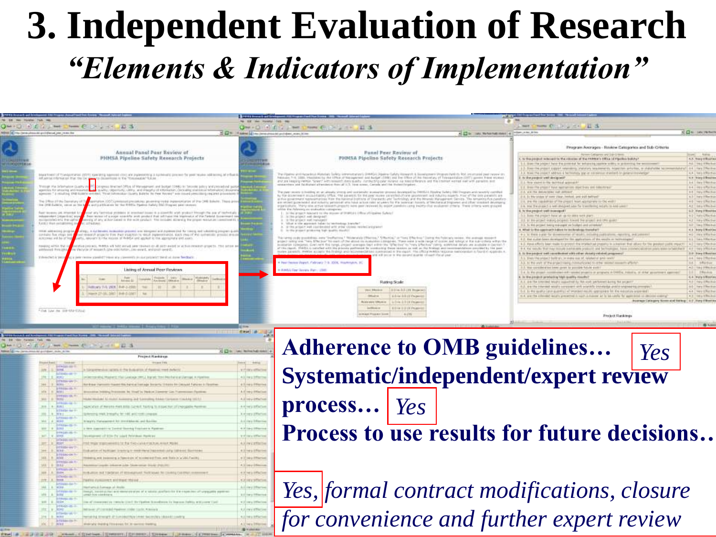### **3. Independent Evaluation of Research** *"Elements & Indicators of Implementation"*

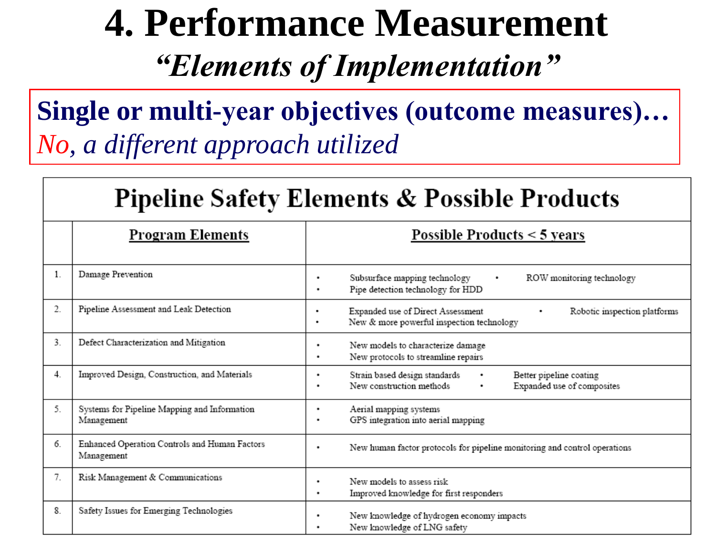### **4. Performance Measurement** *"Elements of Implementation"*

**Single or multi-year objectives (outcome measures)…** *No, a different approach utilized*

|         | <b>Pipeline Safety Elements &amp; Possible Products</b>     |                                                                                                                         |  |  |  |
|---------|-------------------------------------------------------------|-------------------------------------------------------------------------------------------------------------------------|--|--|--|
|         | <b>Program Elements</b>                                     | Possible Products < 5 years                                                                                             |  |  |  |
| $1_{-}$ | Damage Prevention                                           | Subsurface mapping technology<br>ROW monitoring technology<br>٠<br>٠<br>Pipe detection technology for HDD               |  |  |  |
| 2.      | Pipeline Assessment and Leak Detection                      | Expanded use of Direct Assessment<br>Robotic inspection platforms<br>New & more powerful inspection technology<br>۰     |  |  |  |
| 3.      | Defect Characterization and Mitigation                      | New models to characterize damage<br>٠<br>New protocols to streamline repairs<br>٠                                      |  |  |  |
| 4.      | Improved Design, Construction, and Materials                | Strain based design standards<br>Better pipeline coating<br>٠<br>New construction methods<br>Expanded use of composites |  |  |  |
| 5.      | Systems for Pipeline Mapping and Information<br>Management  | Aerial mapping systems<br>٠<br>GPS integration into aerial mapping                                                      |  |  |  |
| 6.      | Enhanced Operation Controls and Human Factors<br>Management | New human factor protocols for pipeline monitoring and control operations<br>٠                                          |  |  |  |
| 7.      | Risk Management & Communications                            | New models to assess risk<br>٠<br>Improved knowledge for first responders<br>٠                                          |  |  |  |
| 8.      | Safety Issues for Emerging Technologies                     | New knowledge of hydrogen economy impacts<br>٠<br>New knowledge of LNG safety                                           |  |  |  |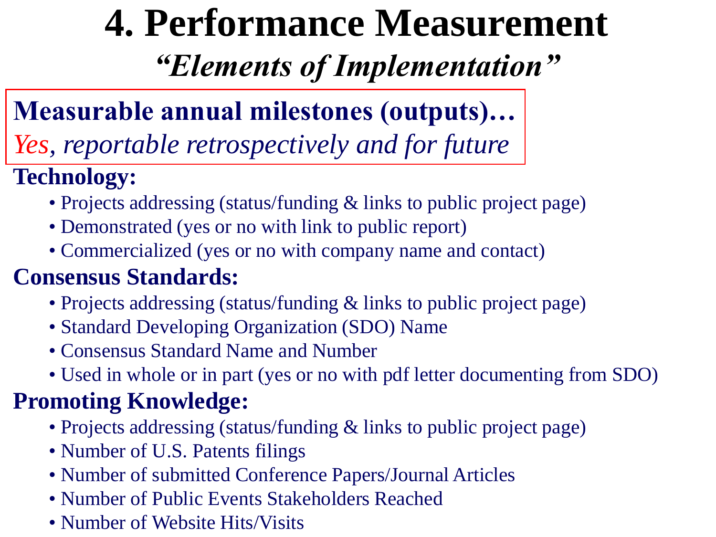# **4. Performance Measurement**

*"Elements of Implementation"*

### **Measurable annual milestones (outputs)…**

*Yes, reportable retrospectively and for future*

#### **Technology:**

- Projects addressing (status/funding & links to public project page)
- Demonstrated (yes or no with link to public report)
- Commercialized (yes or no with company name and contact)

#### **Consensus Standards:**

- Projects addressing (status/funding & links to public project page)
- Standard Developing Organization (SDO) Name
- Consensus Standard Name and Number
- Used in whole or in part (yes or no with pdf letter documenting from SDO)

#### **Promoting Knowledge:**

- Projects addressing (status/funding & links to public project page)
- Number of U.S. Patents filings
- Number of submitted Conference Papers/Journal Articles
- Number of Public Events Stakeholders Reached
- Number of Website Hits/Visits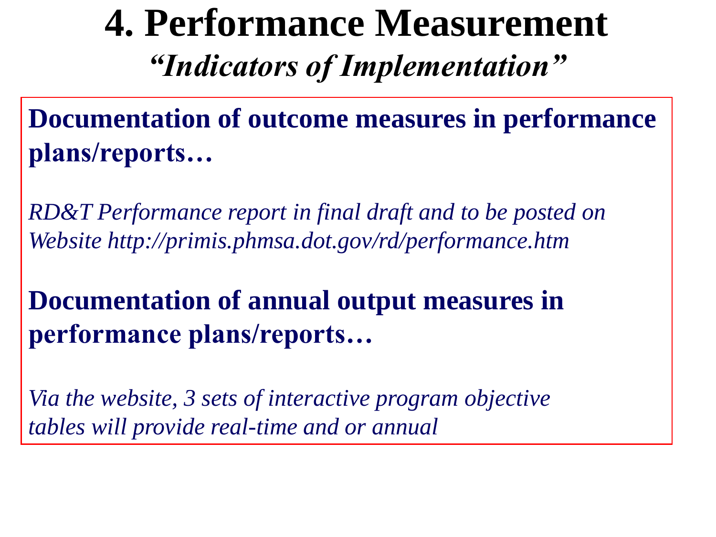### **4. Performance Measurement** *"Indicators of Implementation"*

**Documentation of outcome measures in performance plans/reports…**

*RD&T Performance report in final draft and to be posted on Website http://primis.phmsa.dot.gov/rd/performance.htm* 

**Documentation of annual output measures in performance plans/reports…**

*Via the website, 3 sets of interactive program objective tables will provide real-time and or annual*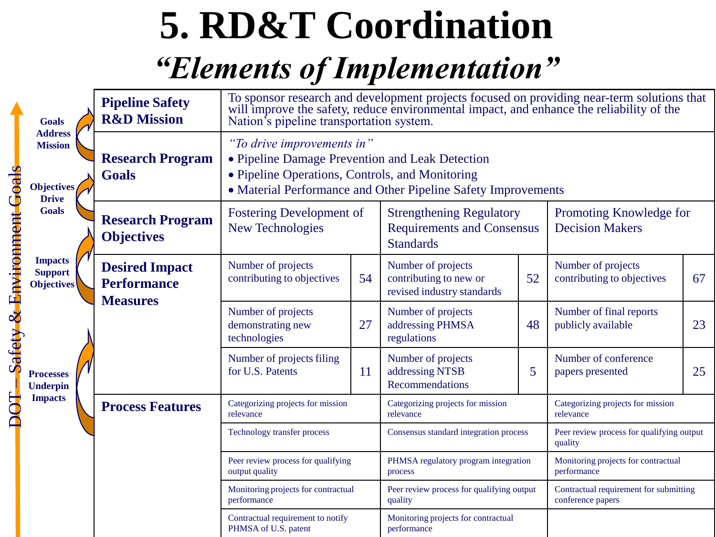## **5. RD&T Coordination**

### *"Elements of Implementation"*

|                            | <b>Goals</b>                                                   | <b>Pipeline Safety</b><br><b>R&amp;D</b> Mission               | To sponsor research and development projects focused on providing near-term solutions that will improve the safety, reduce environmental impact, and enhance the reliability of the<br>Nation's pipeline transportation system. |    |                                                                                          |    |                                                             |    |
|----------------------------|----------------------------------------------------------------|----------------------------------------------------------------|---------------------------------------------------------------------------------------------------------------------------------------------------------------------------------------------------------------------------------|----|------------------------------------------------------------------------------------------|----|-------------------------------------------------------------|----|
| Safety & Environment Goals | <b>Address</b><br><b>Mission</b><br>Objectives<br><b>Drive</b> | <b>Research Program</b><br><b>Goals</b>                        | "To drive improvements in"<br>• Pipeline Damage Prevention and Leak Detection<br>• Pipeline Operations, Controls, and Monitoring<br>• Material Performance and Other Pipeline Safety Improvements                               |    |                                                                                          |    |                                                             |    |
|                            | <b>Goals</b>                                                   | <b>Research Program</b><br><b>Objectives</b>                   | <b>Fostering Development of</b><br><b>New Technologies</b>                                                                                                                                                                      |    | <b>Strengthening Regulatory</b><br><b>Requirements and Consensus</b><br><b>Standards</b> |    | Promoting Knowledge for<br><b>Decision Makers</b>           |    |
|                            | <b>Impacts</b><br><b>Support</b><br><b>Objectives</b>          | <b>Desired Impact</b><br><b>Performance</b><br><b>Measures</b> | Number of projects<br>contributing to objectives                                                                                                                                                                                | 54 | Number of projects<br>contributing to new or<br>revised industry standards               | 52 | Number of projects<br>contributing to objectives            | 67 |
|                            |                                                                |                                                                | Number of projects<br>demonstrating new<br>technologies                                                                                                                                                                         | 27 | Number of projects<br>addressing PHMSA<br>regulations                                    | 48 | Number of final reports<br>publicly available               | 23 |
|                            | <b>Processes</b><br><b>Underpin</b>                            |                                                                | Number of projects filing<br>for U.S. Patents                                                                                                                                                                                   | 11 | Number of projects<br>addressing NTSB<br><b>Recommendations</b>                          | 5  | Number of conference<br>papers presented                    | 25 |
| <b>BOT</b>                 | <b>Impacts</b>                                                 | <b>Process Features</b>                                        | Categorizing projects for mission<br>relevance                                                                                                                                                                                  |    | Categorizing projects for mission<br>relevance                                           |    | Categorizing projects for mission<br>relevance              |    |
|                            |                                                                |                                                                | Technology transfer process                                                                                                                                                                                                     |    | Consensus standard integration process                                                   |    | Peer review process for qualifying output<br>quality        |    |
|                            |                                                                |                                                                | Peer review process for qualifying<br>output quality                                                                                                                                                                            |    | PHMSA regulatory program integration<br>process                                          |    | Monitoring projects for contractual<br>performance          |    |
|                            |                                                                |                                                                | Monitoring projects for contractual<br>performance                                                                                                                                                                              |    | Peer review process for qualifying output<br>quality                                     |    | Contractual requirement for submitting<br>conference papers |    |
|                            |                                                                |                                                                | Contractual requirement to notify<br>PHMSA of U.S. patent                                                                                                                                                                       |    | Monitoring projects for contractual<br>performance                                       |    |                                                             |    |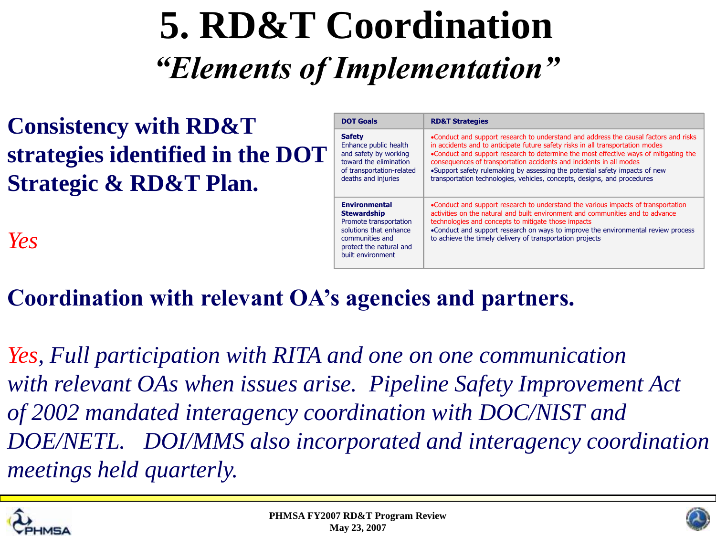### **5. RD&T Coordination** *"Elements of Implementation"*

**Consistency with RD&T strategies identified in the DOT Strategic & RD&T Plan.**

*Yes*

| <b>DOT Goals</b>                                                                                                                                                  | <b>RD&amp;T Strategies</b>                                                                                                                                                                                                                                                                                                                                                                                                                                                                       |
|-------------------------------------------------------------------------------------------------------------------------------------------------------------------|--------------------------------------------------------------------------------------------------------------------------------------------------------------------------------------------------------------------------------------------------------------------------------------------------------------------------------------------------------------------------------------------------------------------------------------------------------------------------------------------------|
| <b>Safety</b><br>Enhance public health<br>and safety by working<br>toward the elimination<br>of transportation-related<br>deaths and injuries                     | •Conduct and support research to understand and address the causal factors and risks<br>in accidents and to anticipate future safety risks in all transportation modes<br>•Conduct and support research to determine the most effective ways of mitigating the<br>consequences of transportation accidents and incidents in all modes<br>.Support safety rulemaking by assessing the potential safety impacts of new<br>transportation technologies, vehicles, concepts, designs, and procedures |
| <b>Environmental</b><br><b>Stewardship</b><br>Promote transportation<br>solutions that enhance<br>communities and<br>protect the natural and<br>built environment | •Conduct and support research to understand the various impacts of transportation<br>activities on the natural and built environment and communities and to advance<br>technologies and concepts to mitigate those impacts<br>•Conduct and support research on ways to improve the environmental review process<br>to achieve the timely delivery of transportation projects                                                                                                                     |

#### **Coordination with relevant OA's agencies and partners.**

*Yes, Full participation with RITA and one on one communication with relevant OAs when issues arise. Pipeline Safety Improvement Act of 2002 mandated interagency coordination with DOC/NIST and DOE/NETL. DOI/MMS also incorporated and interagency coordination meetings held quarterly.*



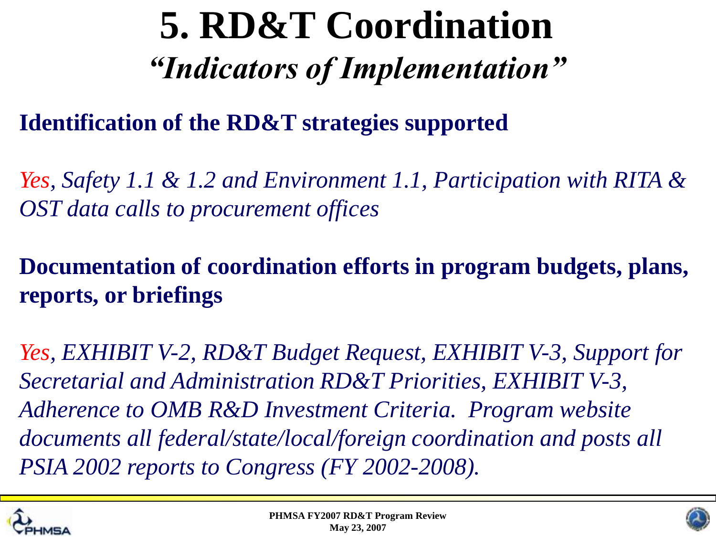### **5. RD&T Coordination** *"Indicators of Implementation"*

#### **Identification of the RD&T strategies supported**

*Yes, Safety 1.1 & 1.2 and Environment 1.1, Participation with RITA & OST data calls to procurement offices* 

**Documentation of coordination efforts in program budgets, plans, reports, or briefings**

*Yes, EXHIBIT V-2, RD&T Budget Request, EXHIBIT V-3, Support for Secretarial and Administration RD&T Priorities, EXHIBIT V-3, Adherence to OMB R&D Investment Criteria. Program website documents all federal/state/local/foreign coordination and posts all PSIA 2002 reports to Congress (FY 2002-2008).* 



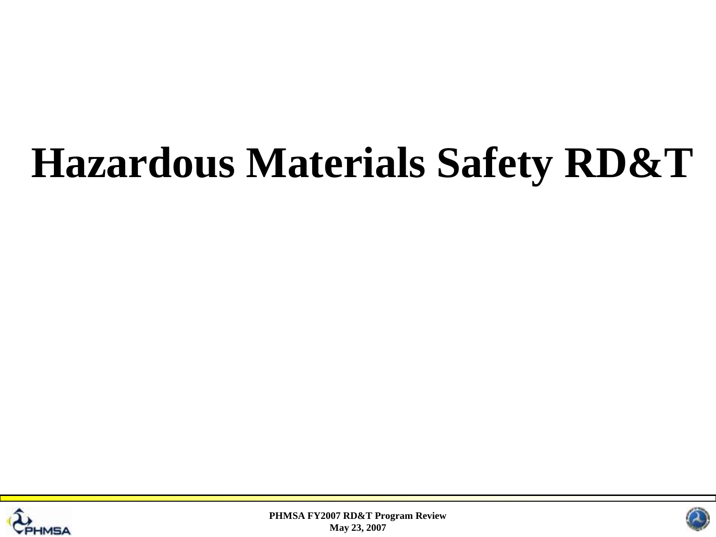## **Hazardous Materials Safety RD&T**





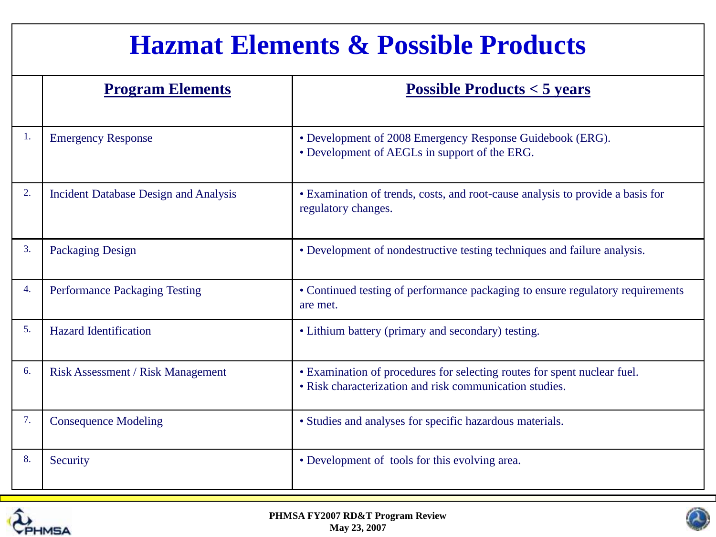#### **Hazmat Elements & Possible Products**

|    | <b>Program Elements</b>                      | Possible Products $<$ 5 years                                                                                                       |
|----|----------------------------------------------|-------------------------------------------------------------------------------------------------------------------------------------|
| 1. | <b>Emergency Response</b>                    | • Development of 2008 Emergency Response Guidebook (ERG).<br>• Development of AEGLs in support of the ERG.                          |
| 2. | <b>Incident Database Design and Analysis</b> | • Examination of trends, costs, and root-cause analysis to provide a basis for<br>regulatory changes.                               |
| 3. | <b>Packaging Design</b>                      | • Development of nondestructive testing techniques and failure analysis.                                                            |
| 4. | <b>Performance Packaging Testing</b>         | • Continued testing of performance packaging to ensure regulatory requirements<br>are met.                                          |
| 5. | <b>Hazard Identification</b>                 | • Lithium battery (primary and secondary) testing.                                                                                  |
| 6. | <b>Risk Assessment / Risk Management</b>     | • Examination of procedures for selecting routes for spent nuclear fuel.<br>• Risk characterization and risk communication studies. |
| 7. | <b>Consequence Modeling</b>                  | • Studies and analyses for specific hazardous materials.                                                                            |
| 8. | Security                                     | • Development of tools for this evolving area.                                                                                      |



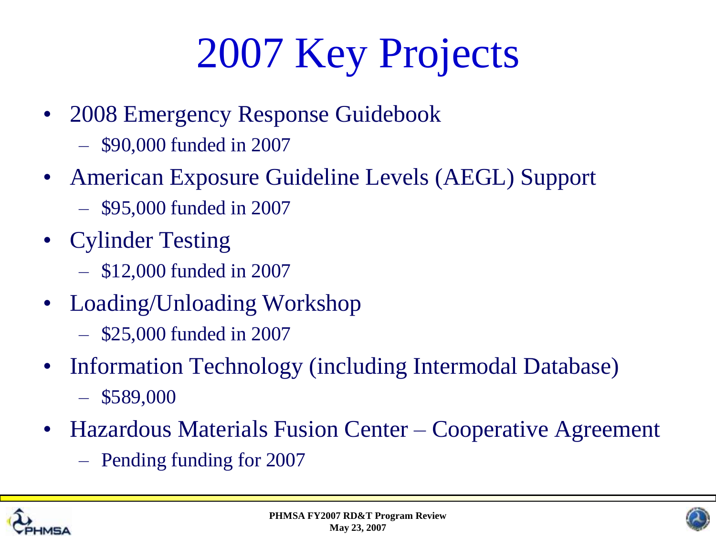## 2007 Key Projects

- 2008 Emergency Response Guidebook
	- \$90,000 funded in 2007
- American Exposure Guideline Levels (AEGL) Support
	- \$95,000 funded in 2007
- Cylinder Testing
	- \$12,000 funded in 2007
- Loading/Unloading Workshop
	- \$25,000 funded in 2007
- Information Technology (including Intermodal Database)  $-$  \$589,000
- Hazardous Materials Fusion Center Cooperative Agreement
	- Pending funding for 2007



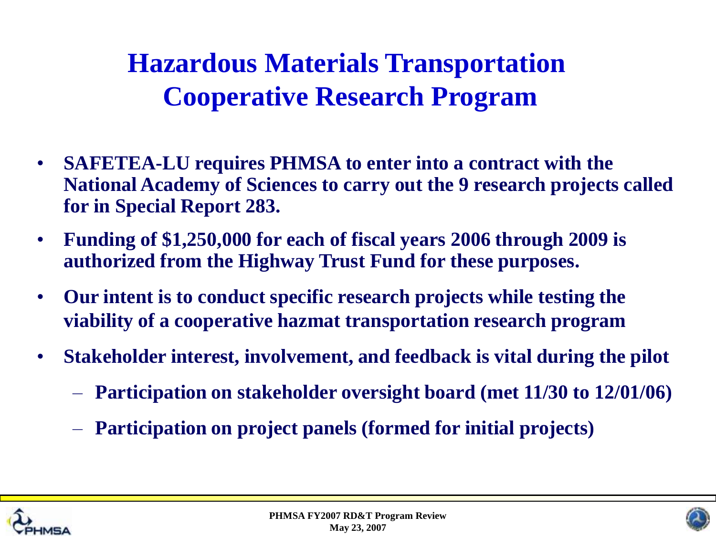- **SAFETEA-LU requires PHMSA to enter into a contract with the National Academy of Sciences to carry out the 9 research projects called for in Special Report 283.**
- **Funding of \$1,250,000 for each of fiscal years 2006 through 2009 is authorized from the Highway Trust Fund for these purposes.**
- **Our intent is to conduct specific research projects while testing the viability of a cooperative hazmat transportation research program**
- **Stakeholder interest, involvement, and feedback is vital during the pilot**
	- **Participation on stakeholder oversight board (met 11/30 to 12/01/06)**
	- **Participation on project panels (formed for initial projects)**





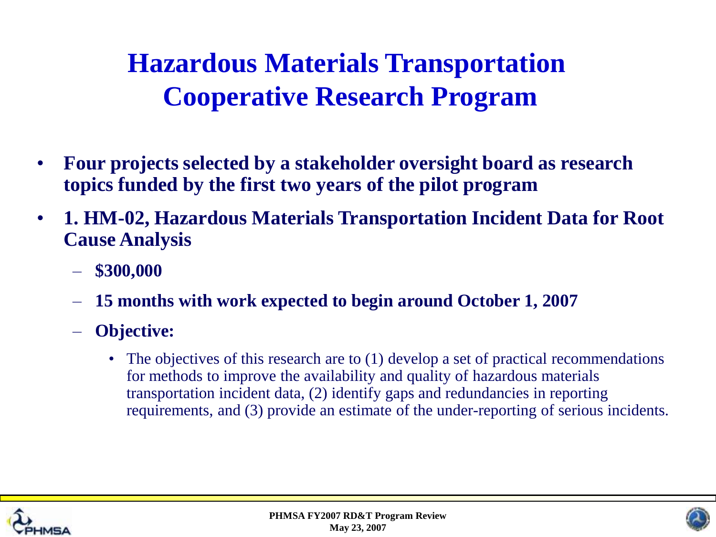- **Four projects selected by a stakeholder oversight board as research topics funded by the first two years of the pilot program**
- **1. HM-02, Hazardous Materials Transportation Incident Data for Root Cause Analysis**
	- **\$300,000**
	- **15 months with work expected to begin around October 1, 2007**
	- **Objective:**
		- The objectives of this research are to (1) develop a set of practical recommendations for methods to improve the availability and quality of hazardous materials transportation incident data, (2) identify gaps and redundancies in reporting requirements, and (3) provide an estimate of the under-reporting of serious incidents.





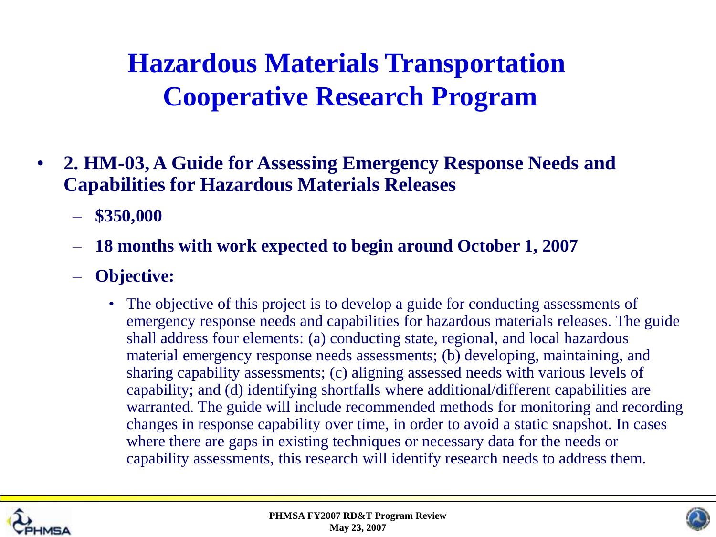- **2. HM-03, A Guide for Assessing Emergency Response Needs and Capabilities for Hazardous Materials Releases**
	- **\$350,000**
	- **18 months with work expected to begin around October 1, 2007**
	- **Objective:**
		- The objective of this project is to develop a guide for conducting assessments of emergency response needs and capabilities for hazardous materials releases. The guide shall address four elements: (a) conducting state, regional, and local hazardous material emergency response needs assessments; (b) developing, maintaining, and sharing capability assessments; (c) aligning assessed needs with various levels of capability; and (d) identifying shortfalls where additional/different capabilities are warranted. The guide will include recommended methods for monitoring and recording changes in response capability over time, in order to avoid a static snapshot. In cases where there are gaps in existing techniques or necessary data for the needs or capability assessments, this research will identify research needs to address them.



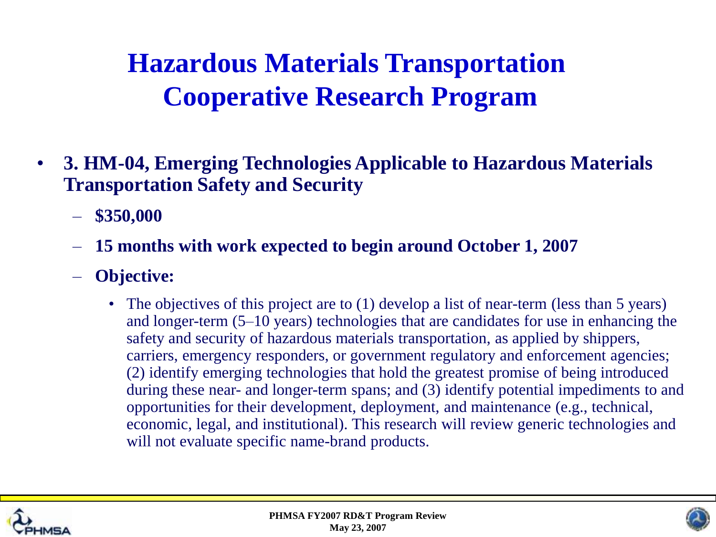- **3. HM-04, Emerging Technologies Applicable to Hazardous Materials Transportation Safety and Security**
	- **\$350,000**
	- **15 months with work expected to begin around October 1, 2007**
	- **Objective:**
		- The objectives of this project are to (1) develop a list of near-term (less than 5 years) and longer-term (5–10 years) technologies that are candidates for use in enhancing the safety and security of hazardous materials transportation, as applied by shippers, carriers, emergency responders, or government regulatory and enforcement agencies; (2) identify emerging technologies that hold the greatest promise of being introduced during these near- and longer-term spans; and (3) identify potential impediments to and opportunities for their development, deployment, and maintenance (e.g., technical, economic, legal, and institutional). This research will review generic technologies and will not evaluate specific name-brand products.



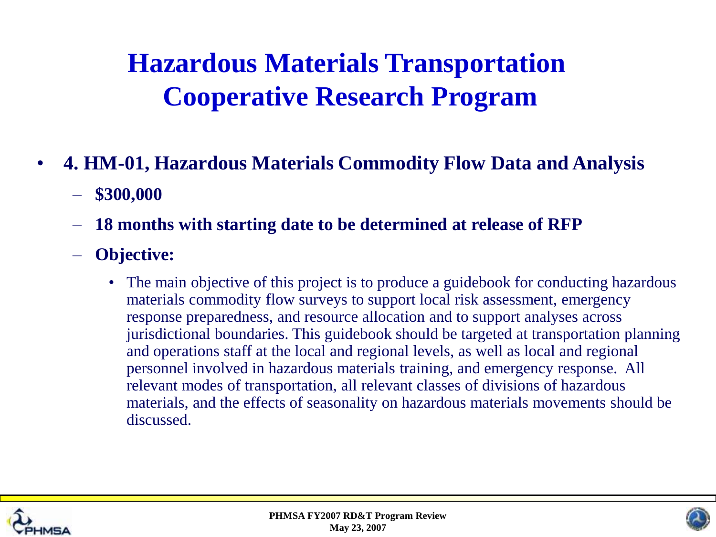- **4. HM-01, Hazardous Materials Commodity Flow Data and Analysis**
	- **\$300,000**
	- **18 months with starting date to be determined at release of RFP**
	- **Objective:**
		- The main objective of this project is to produce a guidebook for conducting hazardous materials commodity flow surveys to support local risk assessment, emergency response preparedness, and resource allocation and to support analyses across jurisdictional boundaries. This guidebook should be targeted at transportation planning and operations staff at the local and regional levels, as well as local and regional personnel involved in hazardous materials training, and emergency response. All relevant modes of transportation, all relevant classes of divisions of hazardous materials, and the effects of seasonality on hazardous materials movements should be discussed.





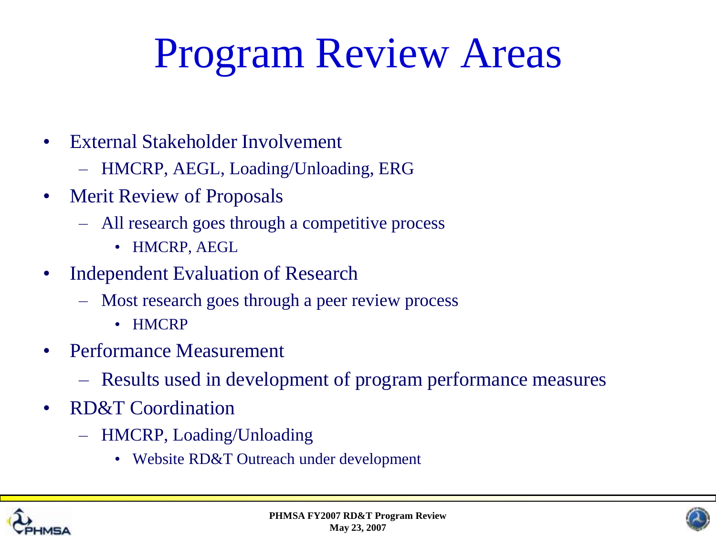## Program Review Areas

- External Stakeholder Involvement
	- HMCRP, AEGL, Loading/Unloading, ERG
- Merit Review of Proposals
	- All research goes through a competitive process
		- HMCRP, AEGL
- Independent Evaluation of Research
	- Most research goes through a peer review process
		- HMCRP
- Performance Measurement
	- Results used in development of program performance measures
- RD&T Coordination
	- HMCRP, Loading/Unloading
		- Website RD&T Outreach under development